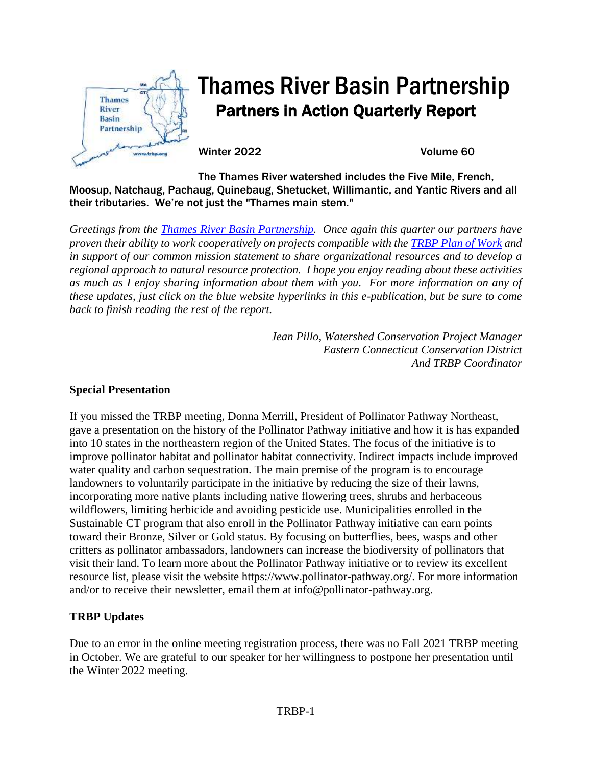

# Thames River Basin Partnership Partners in Action Quarterly Report

Winter 2022 Volume 60

The Thames River watershed includes the Five Mile, French, Moosup, Natchaug, Pachaug, Quinebaug, Shetucket, Willimantic, and Yantic Rivers and all their tributaries. We're not just the "Thames main stem."

*Greetings from the [Thames River Basin Partnership.](http://www.thamesriverbasinpartnership.org/) Once again this quarter our partners have proven their ability to work cooperatively on projects compatible with the [TRBP Plan of Work](http://thamesriverbasinpartnership.org/wp-content/uploads/2018/12/TRBP-Plan-of-Work.pdf) and in support of our common mission statement to share organizational resources and to develop a regional approach to natural resource protection. I hope you enjoy reading about these activities as much as I enjoy sharing information about them with you. For more information on any of these updates, just click on the blue website hyperlinks in this e-publication, but be sure to come back to finish reading the rest of the report.*

> *Jean Pillo, Watershed Conservation Project Manager Eastern Connecticut Conservation District And TRBP Coordinator*

## **Special Presentation**

If you missed the TRBP meeting, Donna Merrill, President of Pollinator Pathway Northeast, gave a presentation on the history of the Pollinator Pathway initiative and how it is has expanded into 10 states in the northeastern region of the United States. The focus of the initiative is to improve pollinator habitat and pollinator habitat connectivity. Indirect impacts include improved water quality and carbon sequestration. The main premise of the program is to encourage landowners to voluntarily participate in the initiative by reducing the size of their lawns, incorporating more native plants including native flowering trees, shrubs and herbaceous wildflowers, limiting herbicide and avoiding pesticide use. Municipalities enrolled in the Sustainable CT program that also enroll in the Pollinator Pathway initiative can earn points toward their Bronze, Silver or Gold status. By focusing on butterflies, bees, wasps and other critters as pollinator ambassadors, landowners can increase the biodiversity of pollinators that visit their land. To learn more about the Pollinator Pathway initiative or to review its excellent resource list, please visit the website https://www.pollinator-pathway.org/. For more information and/or to receive their newsletter, email them at info@pollinator-pathway.org.

# **TRBP Updates**

Due to an error in the online meeting registration process, there was no Fall 2021 TRBP meeting in October. We are grateful to our speaker for her willingness to postpone her presentation until the Winter 2022 meeting.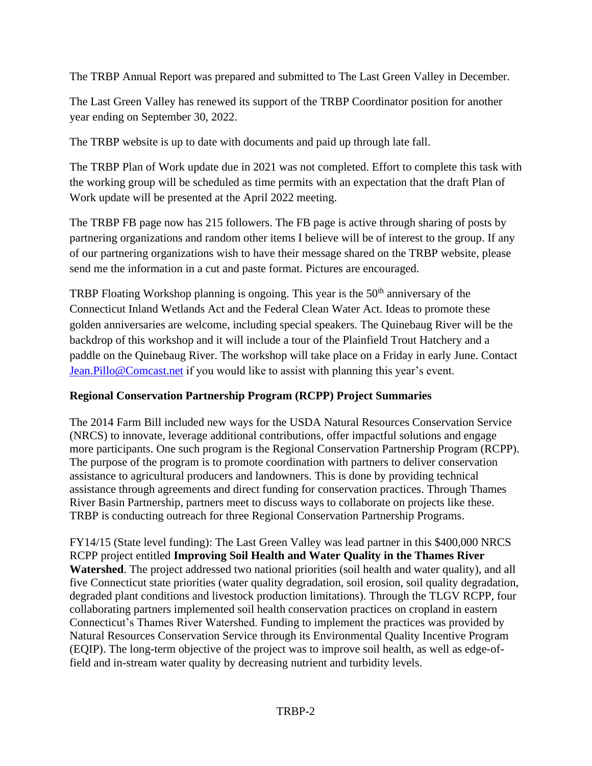The TRBP Annual Report was prepared and submitted to The Last Green Valley in December.

The Last Green Valley has renewed its support of the TRBP Coordinator position for another year ending on September 30, 2022.

The TRBP website is up to date with documents and paid up through late fall.

The TRBP Plan of Work update due in 2021 was not completed. Effort to complete this task with the working group will be scheduled as time permits with an expectation that the draft Plan of Work update will be presented at the April 2022 meeting.

The TRBP FB page now has 215 followers. The FB page is active through sharing of posts by partnering organizations and random other items I believe will be of interest to the group. If any of our partnering organizations wish to have their message shared on the TRBP website, please send me the information in a cut and paste format. Pictures are encouraged.

TRBP Floating Workshop planning is ongoing. This year is the  $50<sup>th</sup>$  anniversary of the Connecticut Inland Wetlands Act and the Federal Clean Water Act. Ideas to promote these golden anniversaries are welcome, including special speakers. The Quinebaug River will be the backdrop of this workshop and it will include a tour of the Plainfield Trout Hatchery and a paddle on the Quinebaug River. The workshop will take place on a Friday in early June. Contact [Jean.Pillo@Comcast.net](mailto:Jean.Pillo@Comcast.net) if you would like to assist with planning this year's event.

# **Regional Conservation Partnership Program (RCPP) Project Summaries**

The 2014 Farm Bill included new ways for the USDA Natural Resources Conservation Service (NRCS) to innovate, leverage additional contributions, offer impactful solutions and engage more participants. One such program is the Regional Conservation Partnership Program (RCPP). The purpose of the program is to promote coordination with partners to deliver conservation assistance to agricultural producers and landowners. This is done by providing technical assistance through agreements and direct funding for conservation practices. Through Thames River Basin Partnership, partners meet to discuss ways to collaborate on projects like these. TRBP is conducting outreach for three Regional Conservation Partnership Programs.

FY14/15 (State level funding): The Last Green Valley was lead partner in this \$400,000 NRCS RCPP project entitled **Improving Soil Health and Water Quality in the Thames River Watershed**. The project addressed two national priorities (soil health and water quality), and all five Connecticut state priorities (water quality degradation, soil erosion, soil quality degradation, degraded plant conditions and livestock production limitations). Through the TLGV RCPP, four collaborating partners implemented soil health conservation practices on cropland in eastern Connecticut's Thames River Watershed. Funding to implement the practices was provided by Natural Resources Conservation Service through its Environmental Quality Incentive Program (EQIP). The long-term objective of the project was to improve soil health, as well as edge-offield and in-stream water quality by decreasing nutrient and turbidity levels.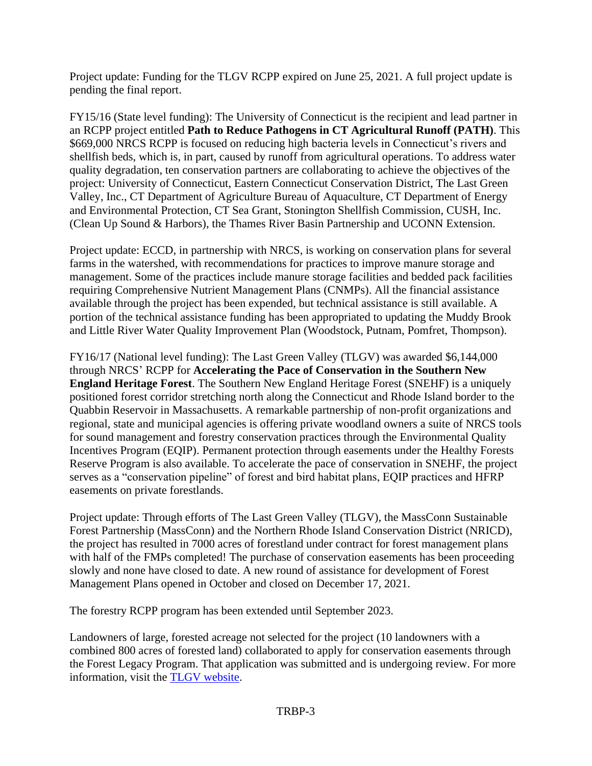Project update: Funding for the TLGV RCPP expired on June 25, 2021. A full project update is pending the final report.

FY15/16 (State level funding): The University of Connecticut is the recipient and lead partner in an RCPP project entitled **Path to Reduce Pathogens in CT Agricultural Runoff (PATH)**. This \$669,000 NRCS RCPP is focused on reducing high bacteria levels in Connecticut's rivers and shellfish beds, which is, in part, caused by runoff from agricultural operations. To address water quality degradation, ten conservation partners are collaborating to achieve the objectives of the project: University of Connecticut, Eastern Connecticut Conservation District, The Last Green Valley, Inc., CT Department of Agriculture Bureau of Aquaculture, CT Department of Energy and Environmental Protection, CT Sea Grant, Stonington Shellfish Commission, CUSH, Inc. (Clean Up Sound & Harbors), the Thames River Basin Partnership and UCONN Extension.

Project update: ECCD, in partnership with NRCS, is working on conservation plans for several farms in the watershed, with recommendations for practices to improve manure storage and management. Some of the practices include manure storage facilities and bedded pack facilities requiring Comprehensive Nutrient Management Plans (CNMPs). All the financial assistance available through the project has been expended, but technical assistance is still available. A portion of the technical assistance funding has been appropriated to updating the Muddy Brook and Little River Water Quality Improvement Plan (Woodstock, Putnam, Pomfret, Thompson).

FY16/17 (National level funding): The Last Green Valley (TLGV) was awarded \$6,144,000 through NRCS' RCPP for **Accelerating the Pace of Conservation in the Southern New England Heritage Forest**. The Southern New England Heritage Forest (SNEHF) is a uniquely positioned forest corridor stretching north along the Connecticut and Rhode Island border to the Quabbin Reservoir in Massachusetts. A remarkable partnership of non-profit organizations and regional, state and municipal agencies is offering private woodland owners a suite of NRCS tools for sound management and forestry conservation practices through the Environmental Quality Incentives Program (EQIP). Permanent protection through easements under the Healthy Forests Reserve Program is also available. To accelerate the pace of conservation in SNEHF, the project serves as a "conservation pipeline" of forest and bird habitat plans, EQIP practices and HFRP easements on private forestlands.

Project update: Through efforts of The Last Green Valley (TLGV), the MassConn Sustainable Forest Partnership (MassConn) and the Northern Rhode Island Conservation District (NRICD), the project has resulted in 7000 acres of forestland under contract for forest management plans with half of the FMPs completed! The purchase of conservation easements has been proceeding slowly and none have closed to date. A new round of assistance for development of Forest Management Plans opened in October and closed on December 17, 2021.

The forestry RCPP program has been extended until September 2023.

Landowners of large, forested acreage not selected for the project (10 landowners with a combined 800 acres of forested land) collaborated to apply for conservation easements through the Forest Legacy Program. That application was submitted and is undergoing review. For more information, visit the [TLGV website.](https://thelastgreenvalley.org/learn-protect/agriculture-forestry/southern-new-england-heritage-forest/)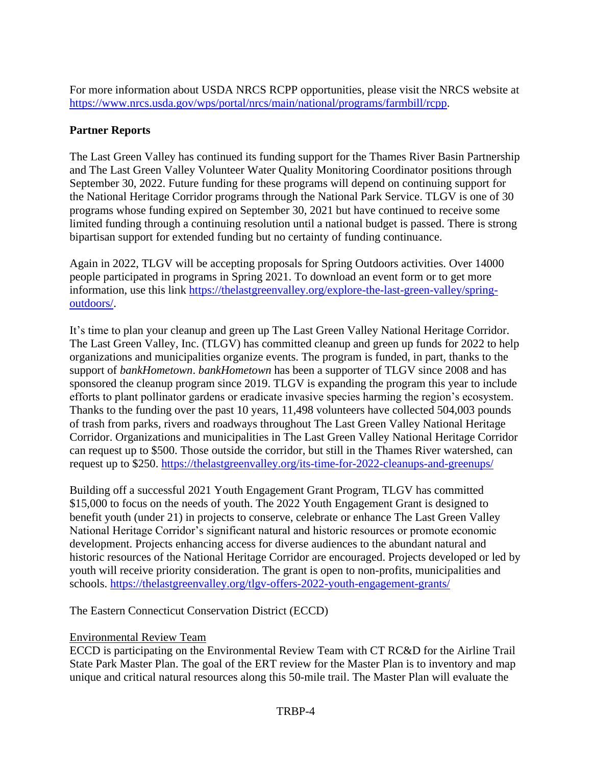For more information about USDA NRCS RCPP opportunities, please visit the NRCS website at [https://www.nrcs.usda.gov/wps/portal/nrcs/main/national/programs/farmbill/rcpp.](https://www.nrcs.usda.gov/wps/portal/nrcs/main/national/programs/farmbill/rcpp)

# **Partner Reports**

The Last Green Valley has continued its funding support for the Thames River Basin Partnership and The Last Green Valley Volunteer Water Quality Monitoring Coordinator positions through September 30, 2022. Future funding for these programs will depend on continuing support for the National Heritage Corridor programs through the National Park Service. TLGV is one of 30 programs whose funding expired on September 30, 2021 but have continued to receive some limited funding through a continuing resolution until a national budget is passed. There is strong bipartisan support for extended funding but no certainty of funding continuance.

Again in 2022, TLGV will be accepting proposals for Spring Outdoors activities. Over 14000 people participated in programs in Spring 2021. To download an event form or to get more information, use this link [https://thelastgreenvalley.org/explore-the-last-green-valley/spring](https://thelastgreenvalley.org/explore-the-last-green-valley/spring-outdoors/)[outdoors/.](https://thelastgreenvalley.org/explore-the-last-green-valley/spring-outdoors/)

It's time to plan your cleanup and green up The Last Green Valley National Heritage Corridor. The Last Green Valley, Inc. (TLGV) has committed cleanup and green up funds for 2022 to help organizations and municipalities organize events. The program is funded, in part, thanks to the support of *bankHometown*. *bankHometown* has been a supporter of TLGV since 2008 and has sponsored the cleanup program since 2019. TLGV is expanding the program this year to include efforts to plant pollinator gardens or eradicate invasive species harming the region's ecosystem. Thanks to the funding over the past 10 years, 11,498 volunteers have collected 504,003 pounds of trash from parks, rivers and roadways throughout The Last Green Valley National Heritage Corridor. Organizations and municipalities in The Last Green Valley National Heritage Corridor can request up to \$500. Those outside the corridor, but still in the Thames River watershed, can request up to \$250. <https://thelastgreenvalley.org/its-time-for-2022-cleanups-and-greenups/>

Building off a successful 2021 Youth Engagement Grant Program, TLGV has committed \$15,000 to focus on the needs of youth. The 2022 Youth Engagement Grant is designed to benefit youth (under 21) in projects to conserve, celebrate or enhance The Last Green Valley National Heritage Corridor's significant natural and historic resources or promote economic development. Projects enhancing access for diverse audiences to the abundant natural and historic resources of the National Heritage Corridor are encouraged. Projects developed or led by youth will receive priority consideration. The grant is open to non-profits, municipalities and schools.<https://thelastgreenvalley.org/tlgv-offers-2022-youth-engagement-grants/>

The Eastern Connecticut Conservation District (ECCD)

# Environmental Review Team

ECCD is participating on the Environmental Review Team with CT RC&D for the Airline Trail State Park Master Plan. The goal of the ERT review for the Master Plan is to inventory and map unique and critical natural resources along this 50-mile trail. The Master Plan will evaluate the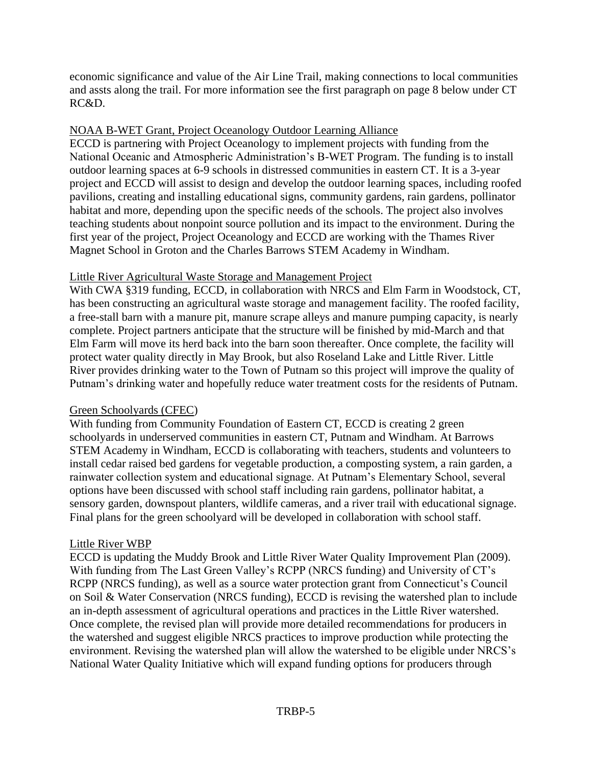economic significance and value of the Air Line Trail, making connections to local communities and assts along the trail. For more information see the first paragraph on page 8 below under CT RC&D.

#### NOAA B-WET Grant, Project Oceanology Outdoor Learning Alliance

ECCD is partnering with Project Oceanology to implement projects with funding from the National Oceanic and Atmospheric Administration's B-WET Program. The funding is to install outdoor learning spaces at 6-9 schools in distressed communities in eastern CT. It is a 3-year project and ECCD will assist to design and develop the outdoor learning spaces, including roofed pavilions, creating and installing educational signs, community gardens, rain gardens, pollinator habitat and more, depending upon the specific needs of the schools. The project also involves teaching students about nonpoint source pollution and its impact to the environment. During the first year of the project, Project Oceanology and ECCD are working with the Thames River Magnet School in Groton and the Charles Barrows STEM Academy in Windham.

#### Little River Agricultural Waste Storage and Management Project

With CWA §319 funding, ECCD, in collaboration with NRCS and Elm Farm in Woodstock, CT, has been constructing an agricultural waste storage and management facility. The roofed facility, a free-stall barn with a manure pit, manure scrape alleys and manure pumping capacity, is nearly complete. Project partners anticipate that the structure will be finished by mid-March and that Elm Farm will move its herd back into the barn soon thereafter. Once complete, the facility will protect water quality directly in May Brook, but also Roseland Lake and Little River. Little River provides drinking water to the Town of Putnam so this project will improve the quality of Putnam's drinking water and hopefully reduce water treatment costs for the residents of Putnam.

## Green Schoolyards (CFEC)

With funding from Community Foundation of Eastern CT, ECCD is creating 2 green schoolyards in underserved communities in eastern CT, Putnam and Windham. At Barrows STEM Academy in Windham, ECCD is collaborating with teachers, students and volunteers to install cedar raised bed gardens for vegetable production, a composting system, a rain garden, a rainwater collection system and educational signage. At Putnam's Elementary School, several options have been discussed with school staff including rain gardens, pollinator habitat, a sensory garden, downspout planters, wildlife cameras, and a river trail with educational signage. Final plans for the green schoolyard will be developed in collaboration with school staff.

#### Little River WBP

ECCD is updating the Muddy Brook and Little River Water Quality Improvement Plan (2009). With funding from The Last Green Valley's RCPP (NRCS funding) and University of CT's RCPP (NRCS funding), as well as a source water protection grant from Connecticut's Council on Soil & Water Conservation (NRCS funding), ECCD is revising the watershed plan to include an in-depth assessment of agricultural operations and practices in the Little River watershed. Once complete, the revised plan will provide more detailed recommendations for producers in the watershed and suggest eligible NRCS practices to improve production while protecting the environment. Revising the watershed plan will allow the watershed to be eligible under NRCS's National Water Quality Initiative which will expand funding options for producers through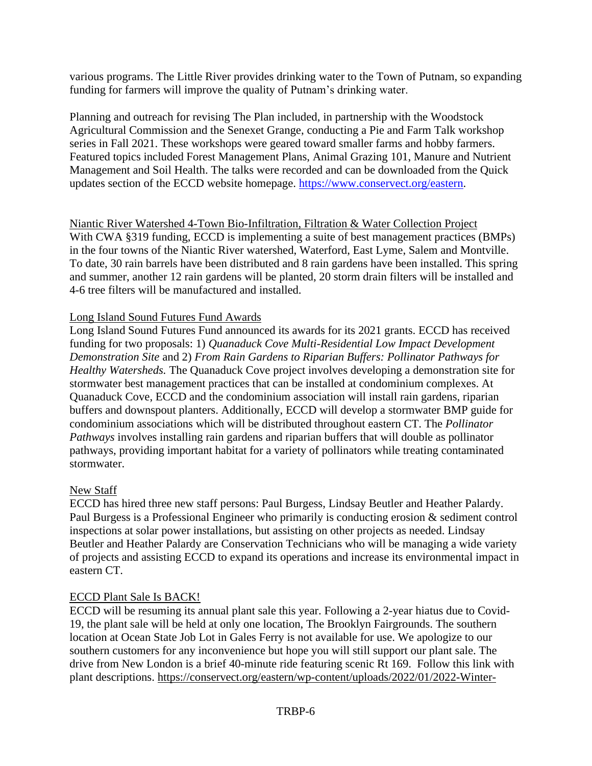various programs. The Little River provides drinking water to the Town of Putnam, so expanding funding for farmers will improve the quality of Putnam's drinking water.

Planning and outreach for revising The Plan included, in partnership with the Woodstock Agricultural Commission and the Senexet Grange, conducting a Pie and Farm Talk workshop series in Fall 2021. These workshops were geared toward smaller farms and hobby farmers. Featured topics included Forest Management Plans, Animal Grazing 101, Manure and Nutrient Management and Soil Health. The talks were recorded and can be downloaded from the Quick updates section of the ECCD website homepage. [https://www.conservect.org/eastern.](https://www.conservect.org/eastern)

Niantic River Watershed 4-Town Bio-Infiltration, Filtration & Water Collection Project With CWA §319 funding, ECCD is implementing a suite of best management practices (BMPs) in the four towns of the Niantic River watershed, Waterford, East Lyme, Salem and Montville. To date, 30 rain barrels have been distributed and 8 rain gardens have been installed. This spring and summer, another 12 rain gardens will be planted, 20 storm drain filters will be installed and 4-6 tree filters will be manufactured and installed.

#### Long Island Sound Futures Fund Awards

Long Island Sound Futures Fund announced its awards for its 2021 grants. ECCD has received funding for two proposals: 1) *Quanaduck Cove Multi-Residential Low Impact Development Demonstration Site* and 2) *From Rain Gardens to Riparian Buffers: Pollinator Pathways for Healthy Watersheds.* The Quanaduck Cove project involves developing a demonstration site for stormwater best management practices that can be installed at condominium complexes. At Quanaduck Cove, ECCD and the condominium association will install rain gardens, riparian buffers and downspout planters. Additionally, ECCD will develop a stormwater BMP guide for condominium associations which will be distributed throughout eastern CT. The *Pollinator Pathways* involves installing rain gardens and riparian buffers that will double as pollinator pathways, providing important habitat for a variety of pollinators while treating contaminated stormwater.

#### New Staff

ECCD has hired three new staff persons: Paul Burgess, Lindsay Beutler and Heather Palardy. Paul Burgess is a Professional Engineer who primarily is conducting erosion & sediment control inspections at solar power installations, but assisting on other projects as needed. Lindsay Beutler and Heather Palardy are Conservation Technicians who will be managing a wide variety of projects and assisting ECCD to expand its operations and increase its environmental impact in eastern CT.

#### ECCD Plant Sale Is BACK!

ECCD will be resuming its annual plant sale this year. Following a 2-year hiatus due to Covid-19, the plant sale will be held at only one location, The Brooklyn Fairgrounds. The southern location at Ocean State Job Lot in Gales Ferry is not available for use. We apologize to our southern customers for any inconvenience but hope you will still support our plant sale. The drive from New London is a brief 40-minute ride featuring scenic Rt 169. Follow this link with plant descriptions. [https://conservect.org/eastern/wp-content/uploads/2022/01/2022-Winter-](https://conservect.org/eastern/wp-content/uploads/2022/01/2022-Winter-Newsletter-PLANT-SALE-FINAL.pdf)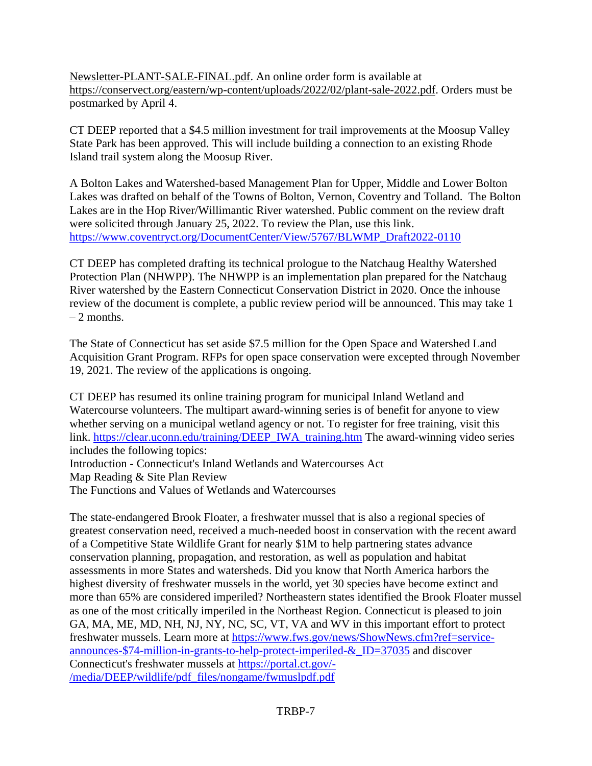[Newsletter-PLANT-SALE-FINAL.pdf.](https://conservect.org/eastern/wp-content/uploads/2022/01/2022-Winter-Newsletter-PLANT-SALE-FINAL.pdf) An online order form is available at [https://conservect.org/eastern/wp-content/uploads/2022/02/plant-sale-2022.pdf.](https://conservect.org/eastern/wp-content/uploads/2022/02/plant-sale-2022.pdf) Orders must be postmarked by April 4.

CT DEEP reported that a \$4.5 million investment for trail improvements at the Moosup Valley State Park has been approved. This will include building a connection to an existing Rhode Island trail system along the Moosup River.

A Bolton Lakes and Watershed-based Management Plan for Upper, Middle and Lower Bolton Lakes was drafted on behalf of the Towns of Bolton, Vernon, Coventry and Tolland. The Bolton Lakes are in the Hop River/Willimantic River watershed. Public comment on the review draft were solicited through January 25, 2022. To review the Plan, use this link. [https://www.coventryct.org/DocumentCenter/View/5767/BLWMP\\_Draft2022-0110](https://www.coventryct.org/DocumentCenter/View/5767/BLWMP_Draft2022-0110)

CT DEEP has completed drafting its technical prologue to the Natchaug Healthy Watershed Protection Plan (NHWPP). The NHWPP is an implementation plan prepared for the Natchaug River watershed by the Eastern Connecticut Conservation District in 2020. Once the inhouse review of the document is complete, a public review period will be announced. This may take 1  $-2$  months.

The State of Connecticut has set aside \$7.5 million for the Open Space and Watershed Land Acquisition Grant Program. RFPs for open space conservation were excepted through November 19, 2021. The review of the applications is ongoing.

CT DEEP has resumed its online training program for municipal Inland Wetland and Watercourse volunteers. The multipart award-winning series is of benefit for anyone to view whether serving on a municipal wetland agency or not. To register for free training, visit this link. [https://clear.uconn.edu/training/DEEP\\_IWA\\_training.htm](https://clear.uconn.edu/training/DEEP_IWA_training.htm) The award-winning video series includes the following topics:

Introduction - Connecticut's Inland Wetlands and Watercourses Act

Map Reading & Site Plan Review

The Functions and Values of Wetlands and Watercourses

The state-endangered Brook Floater, a freshwater mussel that is also a regional species of greatest conservation need, received a much-needed boost in conservation with the recent award of a Competitive State Wildlife Grant for nearly \$1M to help partnering states advance conservation planning, propagation, and restoration, as well as population and habitat assessments in more States and watersheds. Did you know that North America harbors the highest diversity of freshwater mussels in the world, yet 30 species have become extinct and more than 65% are considered imperiled? Northeastern states identified the Brook Floater mussel as one of the most critically imperiled in the Northeast Region. Connecticut is pleased to join GA, MA, ME, MD, NH, NJ, NY, NC, SC, VT, VA and WV in this important effort to protect freshwater mussels. Learn more at [https://www.fws.gov/news/ShowNews.cfm?ref=service](https://www.fws.gov/news/ShowNews.cfm?ref=service-announces-$74-million-in-grants-to-help-protect-imperiled-&_ID=37035)[announces-\\$74-million-in-grants-to-help-protect-imperiled-&\\_ID=37035](https://www.fws.gov/news/ShowNews.cfm?ref=service-announces-$74-million-in-grants-to-help-protect-imperiled-&_ID=37035) and discover Connecticut's freshwater mussels at [https://portal.ct.gov/-](https://portal.ct.gov/-/media/DEEP/wildlife/pdf_files/nongame/fwmuslpdf.pdf) [/media/DEEP/wildlife/pdf\\_files/nongame/fwmuslpdf.pdf](https://portal.ct.gov/-/media/DEEP/wildlife/pdf_files/nongame/fwmuslpdf.pdf)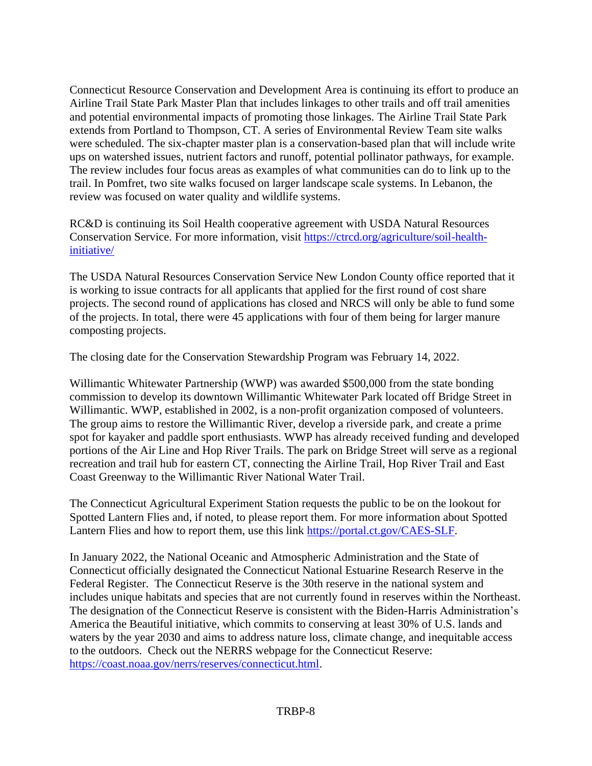Connecticut Resource Conservation and Development Area is continuing its effort to produce an Airline Trail State Park Master Plan that includes linkages to other trails and off trail amenities and potential environmental impacts of promoting those linkages. The Airline Trail State Park extends from Portland to Thompson, CT. A series of Environmental Review Team site walks were scheduled. The six-chapter master plan is a conservation-based plan that will include write ups on watershed issues, nutrient factors and runoff, potential pollinator pathways, for example. The review includes four focus areas as examples of what communities can do to link up to the trail. In Pomfret, two site walks focused on larger landscape scale systems. In Lebanon, the review was focused on water quality and wildlife systems.

RC&D is continuing its Soil Health cooperative agreement with USDA Natural Resources Conservation Service. For more information, visit [https://ctrcd.org/agriculture/soil-health](https://ctrcd.org/agriculture/soil-health-initiative/)[initiative/](https://ctrcd.org/agriculture/soil-health-initiative/)

The USDA Natural Resources Conservation Service New London County office reported that it is working to issue contracts for all applicants that applied for the first round of cost share projects. The second round of applications has closed and NRCS will only be able to fund some of the projects. In total, there were 45 applications with four of them being for larger manure composting projects.

The closing date for the Conservation Stewardship Program was February 14, 2022.

Willimantic Whitewater Partnership (WWP) was awarded \$500,000 from the state bonding commission to develop its downtown Willimantic Whitewater Park located off Bridge Street in Willimantic. WWP, established in 2002, is a non-profit organization composed of volunteers. The group aims to restore the Willimantic River, develop a riverside park, and create a prime spot for kayaker and paddle sport enthusiasts. WWP has already received funding and developed portions of the Air Line and Hop River Trails. The park on Bridge Street will serve as a regional recreation and trail hub for eastern CT, connecting the Airline Trail, Hop River Trail and East Coast Greenway to the Willimantic River National Water Trail.

The Connecticut Agricultural Experiment Station requests the public to be on the lookout for Spotted Lantern Flies and, if noted, to please report them. For more information about Spotted Lantern Flies and how to report them, use this link [https://portal.ct.gov/CAES-SLF.](https://portal.ct.gov/CAES-SLF)

In January 2022, the National Oceanic and Atmospheric Administration and the State of Connecticut officially designated the Connecticut National Estuarine Research Reserve in the Federal Register. The Connecticut Reserve is the 30th reserve in the national system and includes unique habitats and species that are not currently found in reserves within the Northeast. The designation of the Connecticut Reserve is consistent with the Biden-Harris Administration's America the Beautiful initiative, which commits to conserving at least 30% of U.S. lands and waters by the year 2030 and aims to address nature loss, climate change, and inequitable access to the outdoors. Check out the NERRS webpage for the Connecticut Reserve: [https://coast.noaa.gov/nerrs/reserves/connecticut.html.](https://coast.noaa.gov/nerrs/reserves/connecticut.html)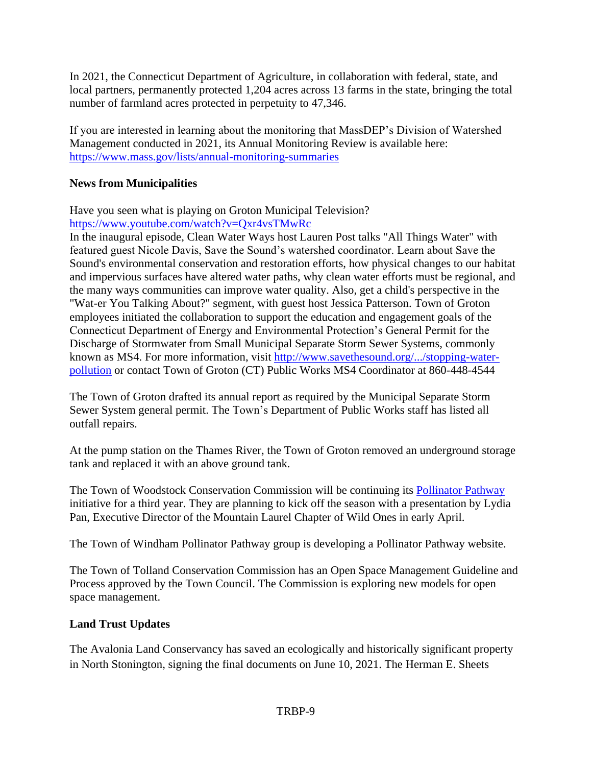In 2021, the Connecticut Department of Agriculture, in collaboration with federal, state, and local partners, permanently protected 1,204 acres across 13 farms in the state, bringing the total number of farmland acres protected in perpetuity to 47,346.

If you are interested in learning about the monitoring that MassDEP's Division of Watershed Management conducted in 2021, its Annual Monitoring Review is available here: <https://www.mass.gov/lists/annual-monitoring-summaries>

## **News from Municipalities**

Have you seen what is playing on Groton Municipal Television? <https://www.youtube.com/watch?v=Qxr4vsTMwRc>

In the inaugural episode, Clean Water Ways host Lauren Post talks "All Things Water" with featured guest Nicole Davis, Save the Sound's watershed coordinator. Learn about Save the Sound's environmental conservation and restoration efforts, how physical changes to our habitat and impervious surfaces have altered water paths, why clean water efforts must be regional, and the many ways communities can improve water quality. Also, get a child's perspective in the "Wat-er You Talking About?" segment, with guest host Jessica Patterson. Town of Groton employees initiated the collaboration to support the education and engagement goals of the Connecticut Department of Energy and Environmental Protection's General Permit for the Discharge of Stormwater from Small Municipal Separate Storm Sewer Systems, commonly known as MS4. For more information, visit [http://www.savethesound.org/.../stopping-water](http://www.savethesound.org/.../stopping-water-pollution)[pollution](http://www.savethesound.org/.../stopping-water-pollution) or contact Town of Groton (CT) Public Works MS4 Coordinator at 860-448-4544

The Town of Groton drafted its annual report as required by the Municipal Separate Storm Sewer System general permit. The Town's Department of Public Works staff has listed all outfall repairs.

At the pump station on the Thames River, the Town of Groton removed an underground storage tank and replaced it with an above ground tank.

The Town of Woodstock Conservation Commission will be continuing its [Pollinator Pathway](https://woodstockconservation.org/pollinator-pathway) initiative for a third year. They are planning to kick off the season with a presentation by Lydia Pan, Executive Director of the Mountain Laurel Chapter of Wild Ones in early April.

The Town of Windham Pollinator Pathway group is developing a Pollinator Pathway website.

The Town of Tolland Conservation Commission has an Open Space Management Guideline and Process approved by the Town Council. The Commission is exploring new models for open space management.

## **Land Trust Updates**

The Avalonia Land Conservancy has saved an ecologically and historically significant property in North Stonington, signing the final documents on June 10, 2021. The Herman E. Sheets